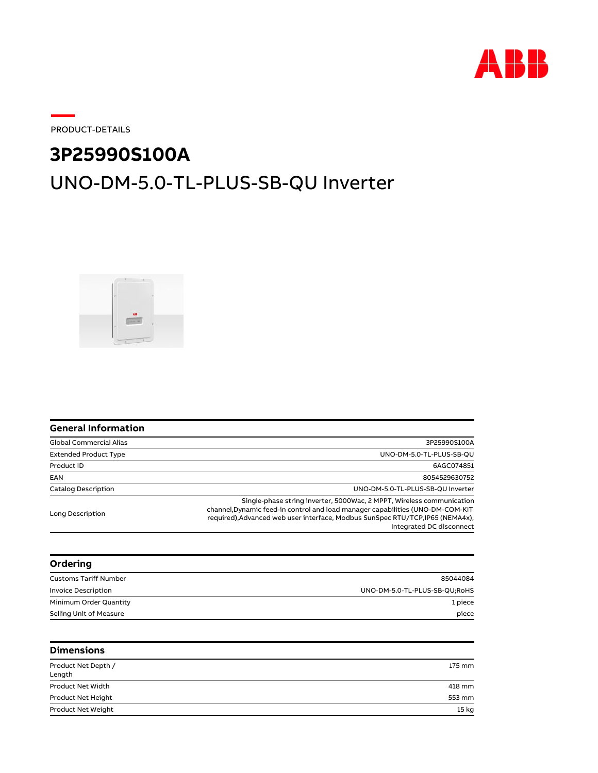

PRODUCT-DETAILS

## **3P25990S100A**

## UNO-DM-5.0-TL-PLUS-SB-QU Inverter



| <b>General Information</b>     |                                                                                                                                                                                                                                                                       |  |
|--------------------------------|-----------------------------------------------------------------------------------------------------------------------------------------------------------------------------------------------------------------------------------------------------------------------|--|
| <b>Global Commercial Alias</b> | 3P25990S100A                                                                                                                                                                                                                                                          |  |
| <b>Extended Product Type</b>   | UNO-DM-5.0-TL-PLUS-SB-QU                                                                                                                                                                                                                                              |  |
| Product ID                     | 6AGC074851                                                                                                                                                                                                                                                            |  |
| EAN                            | 8054529630752                                                                                                                                                                                                                                                         |  |
| <b>Catalog Description</b>     | UNO-DM-5.0-TL-PLUS-SB-QU Inverter                                                                                                                                                                                                                                     |  |
| Long Description               | Single-phase string inverter, 5000Wac, 2 MPPT, Wireless communication<br>channel, Dynamic feed-in control and load manager capabilities (UNO-DM-COM-KIT<br>required), Advanced web user interface, Modbus SunSpec RTU/TCP, IP65 (NEMA4x),<br>Integrated DC disconnect |  |
| Ordering                       |                                                                                                                                                                                                                                                                       |  |
| <b>Customs Tariff Number</b>   | 85044084                                                                                                                                                                                                                                                              |  |
| <b>Invoice Description</b>     | UNO-DM-5.0-TL-PLUS-SB-QU;RoHS                                                                                                                                                                                                                                         |  |
| Minimum Order Quantity         | 1 piece                                                                                                                                                                                                                                                               |  |
| Selling Unit of Measure        | piece                                                                                                                                                                                                                                                                 |  |
| <b>Dimensions</b>              |                                                                                                                                                                                                                                                                       |  |
| Product Net Depth /<br>Length  | 175 mm                                                                                                                                                                                                                                                                |  |
| Product Net Width              | 418 mm                                                                                                                                                                                                                                                                |  |
| Product Net Height             | 553 mm                                                                                                                                                                                                                                                                |  |
| Product Net Weight             | 15 <sub>kg</sub>                                                                                                                                                                                                                                                      |  |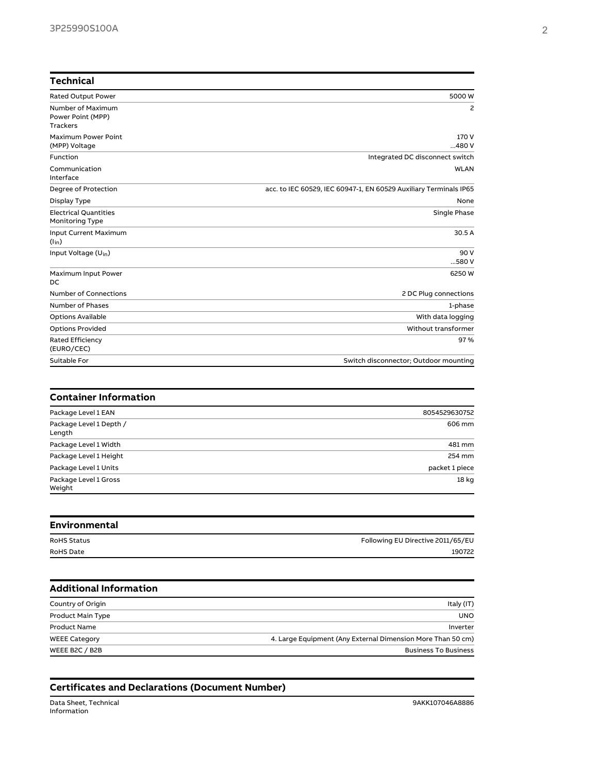| <b>Technical</b>                                          |                                                                   |
|-----------------------------------------------------------|-------------------------------------------------------------------|
| <b>Rated Output Power</b>                                 | 5000 W                                                            |
| Number of Maximum<br>Power Point (MPP)<br><b>Trackers</b> | 2                                                                 |
| Maximum Power Point<br>(MPP) Voltage                      | 170 V<br>480V                                                     |
| Function                                                  | Integrated DC disconnect switch                                   |
| Communication<br>Interface                                | <b>WLAN</b>                                                       |
| Degree of Protection                                      | acc. to IEC 60529, IEC 60947-1, EN 60529 Auxiliary Terminals IP65 |
| Display Type                                              | None                                                              |
| <b>Electrical Quantities</b><br>Monitoring Type           | Single Phase                                                      |
| Input Current Maximum<br>$(l_{in})$                       | 30.5 A                                                            |
| Input Voltage (U <sub>in</sub> )                          | 90 V<br>580V                                                      |
| Maximum Input Power<br>DC                                 | 6250 W                                                            |
| <b>Number of Connections</b>                              | 2 DC Plug connections                                             |
| <b>Number of Phases</b>                                   | 1-phase                                                           |
| <b>Options Available</b>                                  | With data logging                                                 |
| <b>Options Provided</b>                                   | Without transformer                                               |
| <b>Rated Efficiency</b><br>(EURO/CEC)                     | 97%                                                               |
| Suitable For                                              | Switch disconnector; Outdoor mounting                             |
| <b>Container Information</b>                              |                                                                   |
| Package Level 1 EAN                                       | 8054529630752                                                     |
| Package Level 1 Depth /<br>Length                         | 606 mm                                                            |
| Package Level 1 Width                                     | 481 mm                                                            |
| Package Level 1 Height                                    | 254 mm                                                            |
| Package Level 1 Units                                     | packet 1 piece                                                    |
| Package Level 1 Gross<br>Weight                           | 18 kg                                                             |

| <b>Environmental</b> |                                   |
|----------------------|-----------------------------------|
| <b>RoHS Status</b>   | Following EU Directive 2011/65/EU |
| <b>RoHS Date</b>     | 190722                            |
|                      |                                   |

| <b>Additional Information</b> |                                                             |
|-------------------------------|-------------------------------------------------------------|
| Country of Origin             | Italy (IT)                                                  |
| <b>Product Main Type</b>      | <b>UNO</b>                                                  |
| <b>Product Name</b>           | Inverter                                                    |
| <b>WEEE Category</b>          | 4. Large Equipment (Any External Dimension More Than 50 cm) |
| WEEE B2C / B2B                | <b>Business To Business</b>                                 |
|                               |                                                             |

## **Certificates and Declarations (Document Number)**

Data Sheet, Technical 9AKK107046A8886 Information